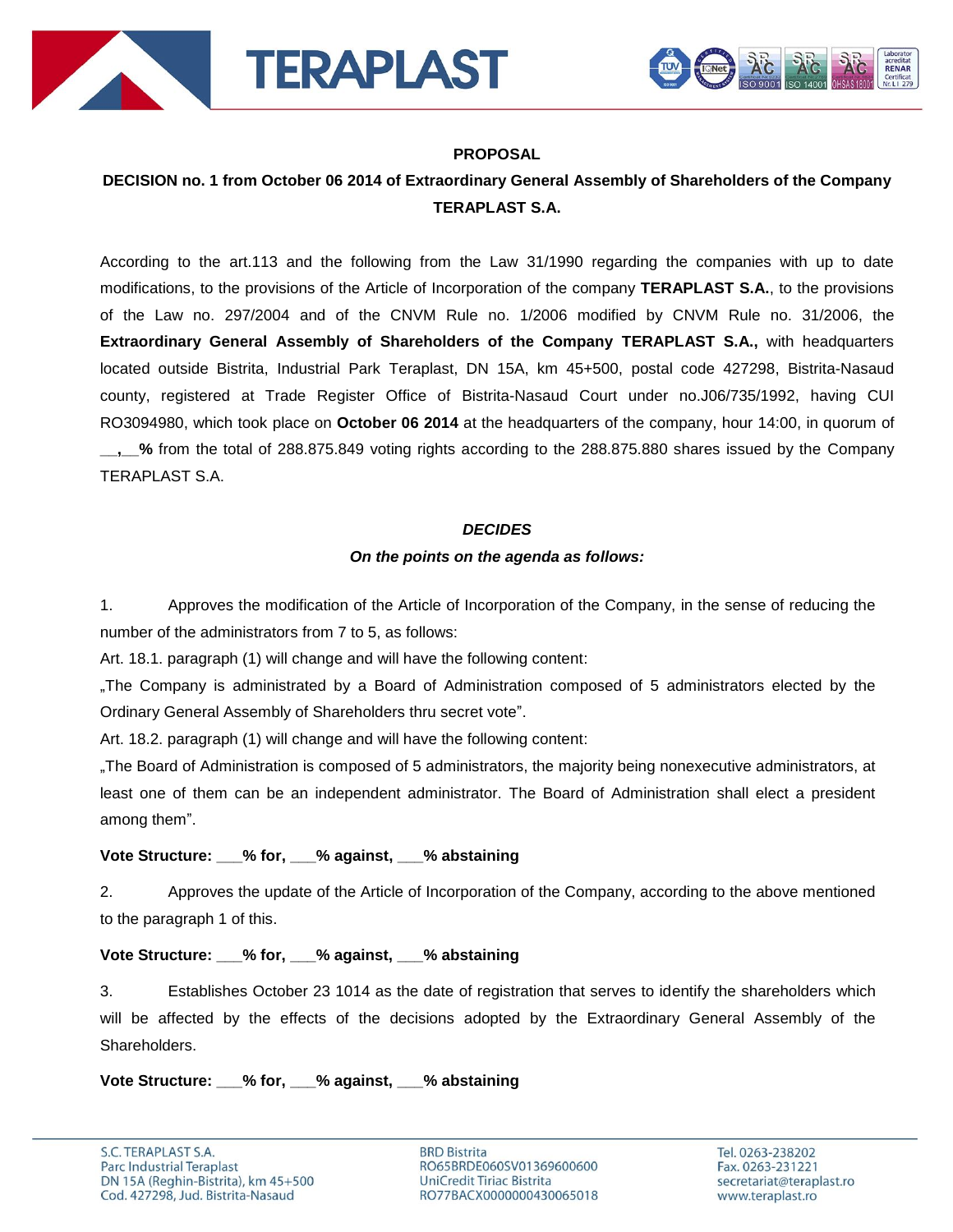



### **PROPOSAL**

# **DECISION no. 1 from October 06 2014 of Extraordinary General Assembly of Shareholders of the Company TERAPLAST S.A.**

According to the art.113 and the following from the Law 31/1990 regarding the companies with up to date modifications, to the provisions of the Article of Incorporation of the company **TERAPLAST S.A.**, to the provisions of the Law no. 297/2004 and of the CNVM Rule no. 1/2006 modified by CNVM Rule no. 31/2006, the **Extraordinary General Assembly of Shareholders of the Company TERAPLAST S.A.,** with headquarters located outside Bistrita, Industrial Park Teraplast, DN 15A, km 45+500, postal code 427298, Bistrita-Nasaud county, registered at Trade Register Office of Bistrita-Nasaud Court under no.J06/735/1992, having CUI RO3094980, which took place on **October 06 2014** at the headquarters of the company, hour 14:00, in quorum of **\_\_,\_\_%** from the total of 288.875.849 voting rights according to the 288.875.880 shares issued by the Company TERAPLAST S.A.

### *DECIDES*

### *On the points on the agenda as follows:*

1. Approves the modification of the Article of Incorporation of the Company, in the sense of reducing the number of the administrators from 7 to 5, as follows:

Art. 18.1. paragraph (1) will change and will have the following content:

"The Company is administrated by a Board of Administration composed of 5 administrators elected by the Ordinary General Assembly of Shareholders thru secret vote".

Art. 18.2. paragraph (1) will change and will have the following content:

"The Board of Administration is composed of 5 administrators, the majority being nonexecutive administrators, at least one of them can be an independent administrator. The Board of Administration shall elect a president among them".

## **Vote Structure: \_\_\_% for, \_\_\_% against, \_\_\_% abstaining**

2. Approves the update of the Article of Incorporation of the Company, according to the above mentioned to the paragraph 1 of this.

### **Vote Structure: \_\_\_% for, \_\_\_% against, \_\_\_% abstaining**

3. Establishes October 23 1014 as the date of registration that serves to identify the shareholders which will be affected by the effects of the decisions adopted by the Extraordinary General Assembly of the Shareholders.

**Vote Structure: \_\_\_% for, \_\_\_% against, \_\_\_% abstaining**